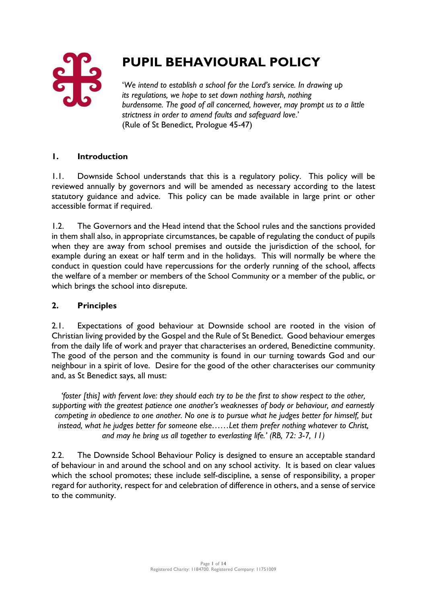

# **PUPIL BEHAVIOURAL POLICY**

'*We intend to establish a school for the Lord's service. In drawing up its regulations, we hope to set down nothing harsh, nothing burdensome. The good of all concerned, however, may prompt us to a little strictness in order to amend faults and safeguard love*.' (Rule of St Benedict, Prologue 45-47)

# **1. Introduction**

1.1. Downside School understands that this is a regulatory policy. This policy will be reviewed annually by governors and will be amended as necessary according to the latest statutory guidance and advice. This policy can be made available in large print or other accessible format if required.

1.2. The Governors and the Head intend that the School rules and the sanctions provided in them shall also, in appropriate circumstances, be capable of regulating the conduct of pupils when they are away from school premises and outside the jurisdiction of the school, for example during an exeat or half term and in the holidays. This will normally be where the conduct in question could have repercussions for the orderly running of the school, affects the welfare of a member or members of the School Community or a member of the public, or which brings the school into disrepute.

# **2. Principles**

2.1. Expectations of good behaviour at Downside school are rooted in the vision of Christian living provided by the Gospel and the Rule of St Benedict. Good behaviour emerges from the daily life of work and prayer that characterises an ordered, Benedictine community. The good of the person and the community is found in our turning towards God and our neighbour in a spirit of love. Desire for the good of the other characterises our community and, as St Benedict says, all must:

*'foster [this] with fervent love: they should each try to be the first to show respect to the other, supporting with the greatest patience one another's weaknesses of body or behaviour, and earnestly competing in obedience to one another. No one is to pursue what he judges better for himself, but instead, what he judges better for someone else……Let them prefer nothing whatever to Christ, and may he bring us all together to everlasting life.' (RB, 72: 3-7, 11)*

2.2. The Downside School Behaviour Policy is designed to ensure an acceptable standard of behaviour in and around the school and on any school activity. It is based on clear values which the school promotes; these include self-discipline, a sense of responsibility, a proper regard for authority, respect for and celebration of difference in others, and a sense of service to the community.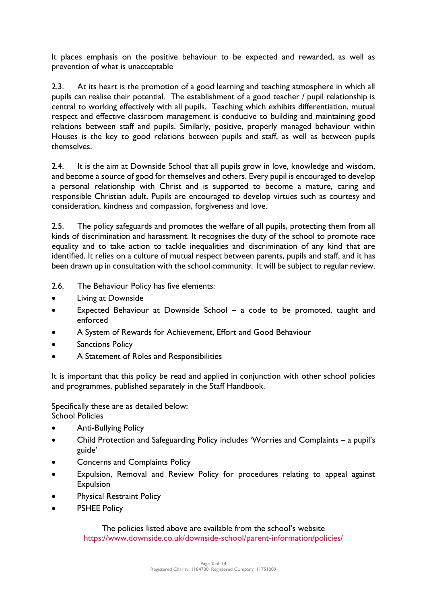It places emphasis on the positive behaviour to be expected and rewarded, as well as prevention of what is unacceptable

2.3. At its heart is the promotion of a good learning and teaching atmosphere in which all pupils can realise their potential. The establishment of a good teacher / pupil relationship is central to working effectively with all pupils. Teaching which exhibits differentiation, mutual respect and effective classroom management is conducive to building and maintaining good relations between staff and pupils. Similarly, positive, properly managed behaviour within Houses is the key to good relations between pupils and staff, as well as between pupils themselves.

2.4. It is the aim at Downside School that all pupils grow in love, knowledge and wisdom, and become a source of good for themselves and others. Every pupil is encouraged to develop a personal relationship with Christ and is supported to become a mature, caring and responsible Christian adult. Pupils are encouraged to develop virtues such as courtesy and consideration, kindness and compassion, forgiveness and love.

2.5. The policy safeguards and promotes the welfare of all pupils, protecting them from all kinds of discrimination and harassment. It recognises the duty of the school to promote race equality and to take action to tackle inequalities and discrimination of any kind that are identified. It relies on a culture of mutual respect between parents, pupils and staff, and it has been drawn up in consultation with the school community. It will be subject to regular review.

2.6. The Behaviour Policy has five elements:

- Living at Downside
- Expected Behaviour at Downside School a code to be promoted, taught and enforced
- A System of Rewards for Achievement, Effort and Good Behaviour
- Sanctions Policy
- A Statement of Roles and Responsibilities

It is important that this policy be read and applied in conjunction with other school policies and programmes, published separately in the Staff Handbook.

Specifically these are as detailed below: School Policies

- Anti-Bullying Policy
- Child Protection and Safeguarding Policy includes 'Worries and Complaints a pupil's guide'
- Concerns and Complaints Policy
- Expulsion, Removal and Review Policy for procedures relating to appeal against Expulsion
- Physical Restraint Policy
- PSHEE Policy

The policies listed above are available from the school's website <https://www.downside.co.uk/downside-school/parent-information/policies/>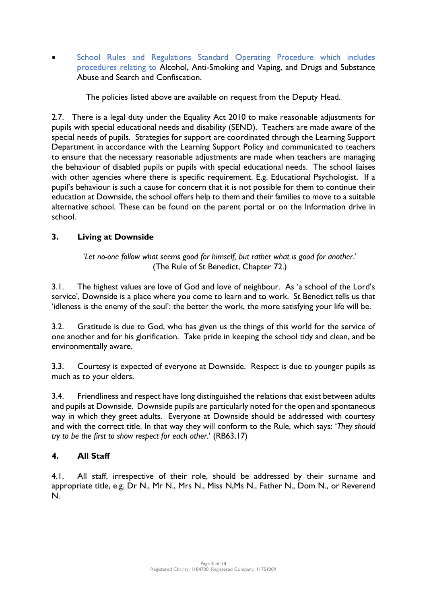School Rules and Regulations Standard Operating Procedure which includes procedures relating to Alcohol, Anti-Smoking and Vaping, and Drugs and Substance Abuse and Search and Confiscation.

The policies listed above are available on request from the Deputy Head.

2.7. There is a legal duty under the Equality Act 2010 to make reasonable adjustments for pupils with special educational needs and disability (SEND). Teachers are made aware of the special needs of pupils. Strategies for support are coordinated through the Learning Support Department in accordance with the Learning Support Policy and communicated to teachers to ensure that the necessary reasonable adjustments are made when teachers are managing the behaviour of disabled pupils or pupils with special educational needs. The school liaises with other agencies where there is specific requirement. E.g. Educational Psychologist. If a pupil's behaviour is such a cause for concern that it is not possible for them to continue their education at Downside, the school offers help to them and their families to move to a suitable alternative school. These can be found on the parent portal or on the Information drive in school.

# **3. Living at Downside**

'*Let no-one follow what seems good for himself, but rather what is good for another*.' (The Rule of St Benedict, Chapter 72.)

3.1. The highest values are love of God and love of neighbour. As 'a school of the Lord's service', Downside is a place where you come to learn and to work. St Benedict tells us that 'idleness is the enemy of the soul': the better the work, the more satisfying your life will be.

3.2. Gratitude is due to God, who has given us the things of this world for the service of one another and for his glorification. Take pride in keeping the school tidy and clean, and be environmentally aware.

3.3. Courtesy is expected of everyone at Downside. Respect is due to younger pupils as much as to your elders.

3.4. Friendliness and respect have long distinguished the relations that exist between adults and pupils at Downside. Downside pupils are particularly noted for the open and spontaneous way in which they greet adults. Everyone at Downside should be addressed with courtesy and with the correct title. In that way they will conform to the Rule, which says: '*They should try to be the first to show respect for each other*.' (RB63,17)

# **4. All Staff**

4.1. All staff, irrespective of their role, should be addressed by their surname and appropriate title, e.g. Dr N., Mr N., Mrs N., Miss N,Ms N., Father N., Dom N., or Reverend N.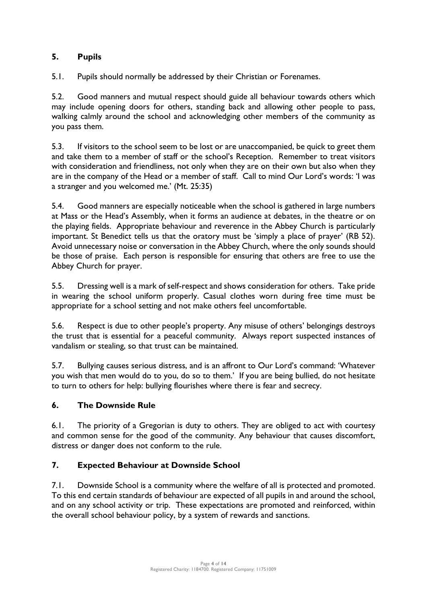# **5. Pupils**

5.1. Pupils should normally be addressed by their Christian or Forenames.

5.2. Good manners and mutual respect should guide all behaviour towards others which may include opening doors for others, standing back and allowing other people to pass, walking calmly around the school and acknowledging other members of the community as you pass them.

5.3. If visitors to the school seem to be lost or are unaccompanied, be quick to greet them and take them to a member of staff or the school's Reception. Remember to treat visitors with consideration and friendliness, not only when they are on their own but also when they are in the company of the Head or a member of staff. Call to mind Our Lord's words: 'I was a stranger and you welcomed me.' (Mt. 25:35)

5.4. Good manners are especially noticeable when the school is gathered in large numbers at Mass or the Head's Assembly, when it forms an audience at debates, in the theatre or on the playing fields. Appropriate behaviour and reverence in the Abbey Church is particularly important. St Benedict tells us that the oratory must be 'simply a place of prayer' (RB 52). Avoid unnecessary noise or conversation in the Abbey Church, where the only sounds should be those of praise. Each person is responsible for ensuring that others are free to use the Abbey Church for prayer.

5.5. Dressing well is a mark of self-respect and shows consideration for others. Take pride in wearing the school uniform properly. Casual clothes worn during free time must be appropriate for a school setting and not make others feel uncomfortable.

5.6. Respect is due to other people's property. Any misuse of others' belongings destroys the trust that is essential for a peaceful community. Always report suspected instances of vandalism or stealing, so that trust can be maintained.

5.7. Bullying causes serious distress, and is an affront to Our Lord's command: 'Whatever you wish that men would do to you, do so to them.' If you are being bullied, do not hesitate to turn to others for help: bullying flourishes where there is fear and secrecy.

# **6. The Downside Rule**

6.1. The priority of a Gregorian is duty to others. They are obliged to act with courtesy and common sense for the good of the community. Any behaviour that causes discomfort, distress or danger does not conform to the rule.

# **7. Expected Behaviour at Downside School**

7.1. Downside School is a community where the welfare of all is protected and promoted. To this end certain standards of behaviour are expected of all pupils in and around the school, and on any school activity or trip. These expectations are promoted and reinforced, within the overall school behaviour policy, by a system of rewards and sanctions.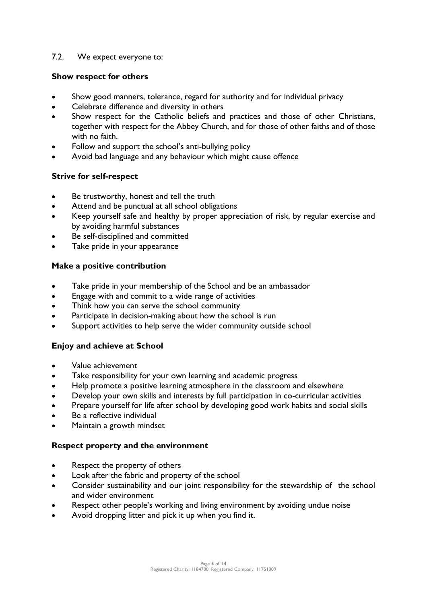#### 7.2. We expect everyone to:

#### **Show respect for others**

- Show good manners, tolerance, regard for authority and for individual privacy
- Celebrate difference and diversity in others
- Show respect for the Catholic beliefs and practices and those of other Christians, together with respect for the Abbey Church, and for those of other faiths and of those with no faith.
- Follow and support the school's anti-bullying policy
- Avoid bad language and any behaviour which might cause offence

#### **Strive for self-respect**

- Be trustworthy, honest and tell the truth
- Attend and be punctual at all school obligations
- Keep yourself safe and healthy by proper appreciation of risk, by regular exercise and by avoiding harmful substances
- Be self-disciplined and committed
- Take pride in your appearance

#### **Make a positive contribution**

- Take pride in your membership of the School and be an ambassador
- Engage with and commit to a wide range of activities
- Think how you can serve the school community
- Participate in decision-making about how the school is run
- Support activities to help serve the wider community outside school

# **Enjoy and achieve at School**

- Value achievement
- Take responsibility for your own learning and academic progress
- Help promote a positive learning atmosphere in the classroom and elsewhere
- Develop your own skills and interests by full participation in co-curricular activities
- Prepare yourself for life after school by developing good work habits and social skills
- Be a reflective individual
- Maintain a growth mindset

# **Respect property and the environment**

- Respect the property of others
- Look after the fabric and property of the school
- Consider sustainability and our joint responsibility for the stewardship of the school and wider environment
- Respect other people's working and living environment by avoiding undue noise
- Avoid dropping litter and pick it up when you find it.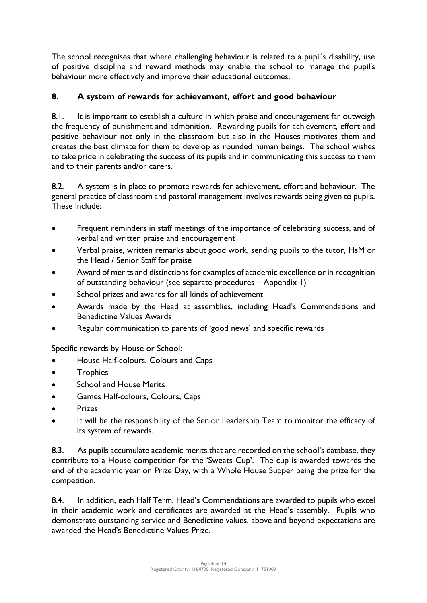The school recognises that where challenging behaviour is related to a pupil's disability, use of positive discipline and reward methods may enable the school to manage the pupil's behaviour more effectively and improve their educational outcomes.

# **8. A system of rewards for achievement, effort and good behaviour**

8.1. It is important to establish a culture in which praise and encouragement far outweigh the frequency of punishment and admonition. Rewarding pupils for achievement, effort and positive behaviour not only in the classroom but also in the Houses motivates them and creates the best climate for them to develop as rounded human beings. The school wishes to take pride in celebrating the success of its pupils and in communicating this success to them and to their parents and/or carers.

8.2. A system is in place to promote rewards for achievement, effort and behaviour. The general practice of classroom and pastoral management involves rewards being given to pupils. These include:

- Frequent reminders in staff meetings of the importance of celebrating success, and of verbal and written praise and encouragement
- Verbal praise, written remarks about good work, sending pupils to the tutor, HsM or the Head / Senior Staff for praise
- Award of merits and distinctions for examples of academic excellence or in recognition of outstanding behaviour (see separate procedures – Appendix 1)
- School prizes and awards for all kinds of achievement
- Awards made by the Head at assemblies, including Head's Commendations and Benedictine Values Awards
- Regular communication to parents of 'good news' and specific rewards

Specific rewards by House or School:

- House Half-colours, Colours and Caps
- **Trophies**
- School and House Merits
- Games Half-colours, Colours, Caps
- **Prizes**
- It will be the responsibility of the Senior Leadership Team to monitor the efficacy of its system of rewards.

8.3. As pupils accumulate academic merits that are recorded on the school's database, they contribute to a House competition for the 'Sweats Cup'. The cup is awarded towards the end of the academic year on Prize Day, with a Whole House Supper being the prize for the competition.

8.4. In addition, each Half Term, Head's Commendations are awarded to pupils who excel in their academic work and certificates are awarded at the Head's assembly. Pupils who demonstrate outstanding service and Benedictine values, above and beyond expectations are awarded the Head's Benedictine Values Prize.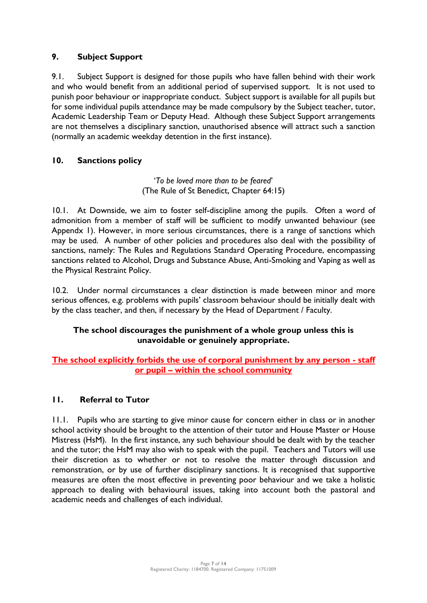# **9. Subject Support**

9.1. Subject Support is designed for those pupils who have fallen behind with their work and who would benefit from an additional period of supervised support. It is not used to punish poor behaviour or inappropriate conduct. Subject support is available for all pupils but for some individual pupils attendance may be made compulsory by the Subject teacher, tutor, Academic Leadership Team or Deputy Head. Although these Subject Support arrangements are not themselves a disciplinary sanction, unauthorised absence will attract such a sanction (normally an academic weekday detention in the first instance).

# **10. Sanctions policy**

'*To be loved more than to be feared*' (The Rule of St Benedict, Chapter 64:15)

10.1. At Downside, we aim to foster self-discipline among the pupils. Often a word of admonition from a member of staff will be sufficient to modify unwanted behaviour (see Appendx 1). However, in more serious circumstances, there is a range of sanctions which may be used. A number of other policies and procedures also deal with the possibility of sanctions, namely: The Rules and Regulations Standard Operating Procedure, encompassing sanctions related to Alcohol, Drugs and Substance Abuse, Anti-Smoking and Vaping as well as the Physical Restraint Policy.

10.2. Under normal circumstances a clear distinction is made between minor and more serious offences, e.g. problems with pupils' classroom behaviour should be initially dealt with by the class teacher, and then, if necessary by the Head of Department / Faculty.

# **The school discourages the punishment of a whole group unless this is unavoidable or genuinely appropriate.**

# **The school explicitly forbids the use of corporal punishment by any person - staff or pupil – within the school community**

# **11. Referral to Tutor**

11.1. Pupils who are starting to give minor cause for concern either in class or in another school activity should be brought to the attention of their tutor and House Master or House Mistress (HsM). In the first instance, any such behaviour should be dealt with by the teacher and the tutor; the HsM may also wish to speak with the pupil. Teachers and Tutors will use their discretion as to whether or not to resolve the matter through discussion and remonstration, or by use of further disciplinary sanctions. It is recognised that supportive measures are often the most effective in preventing poor behaviour and we take a holistic approach to dealing with behavioural issues, taking into account both the pastoral and academic needs and challenges of each individual.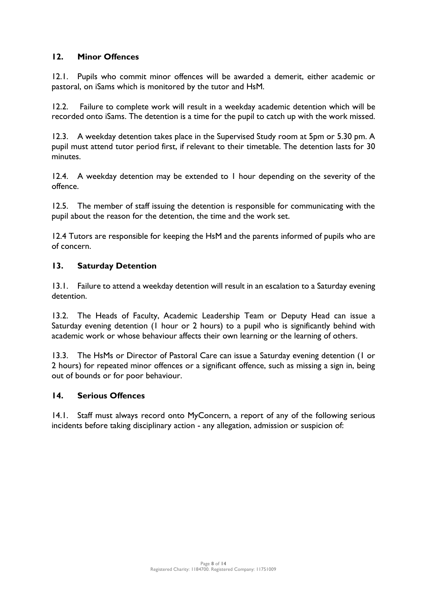# **12. Minor Offences**

12.1. Pupils who commit minor offences will be awarded a demerit, either academic or pastoral, on iSams which is monitored by the tutor and HsM.

12.2. Failure to complete work will result in a weekday academic detention which will be recorded onto iSams. The detention is a time for the pupil to catch up with the work missed.

12.3. A weekday detention takes place in the Supervised Study room at 5pm or 5.30 pm. A pupil must attend tutor period first, if relevant to their timetable. The detention lasts for 30 minutes.

12.4. A weekday detention may be extended to 1 hour depending on the severity of the offence.

12.5. The member of staff issuing the detention is responsible for communicating with the pupil about the reason for the detention, the time and the work set.

12.4 Tutors are responsible for keeping the HsM and the parents informed of pupils who are of concern.

# **13. Saturday Detention**

13.1. Failure to attend a weekday detention will result in an escalation to a Saturday evening detention.

13.2. The Heads of Faculty, Academic Leadership Team or Deputy Head can issue a Saturday evening detention (1 hour or 2 hours) to a pupil who is significantly behind with academic work or whose behaviour affects their own learning or the learning of others.

13.3. The HsMs or Director of Pastoral Care can issue a Saturday evening detention (1 or 2 hours) for repeated minor offences or a significant offence, such as missing a sign in, being out of bounds or for poor behaviour.

# **14. Serious Offences**

14.1. Staff must always record onto MyConcern, a report of any of the following serious incidents before taking disciplinary action - any allegation, admission or suspicion of: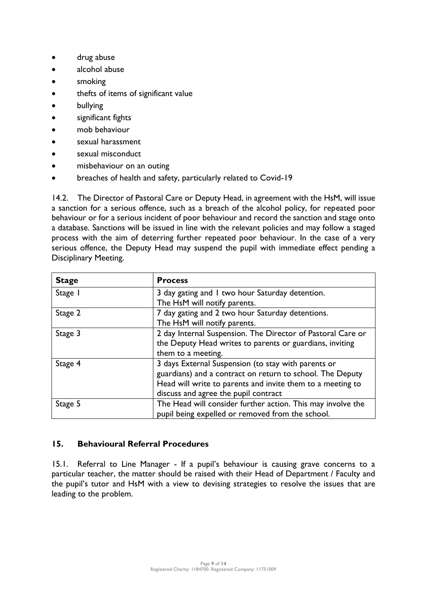- drug abuse
- alcohol abuse
- smoking
- thefts of items of significant value
- **bullying**
- significant fights
- mob behaviour
- sexual harassment
- sexual misconduct
- misbehaviour on an outing
- breaches of health and safety, particularly related to Covid-19

14.2. The Director of Pastoral Care or Deputy Head, in agreement with the HsM, will issue a sanction for a serious offence, such as a breach of the alcohol policy, for repeated poor behaviour or for a serious incident of poor behaviour and record the sanction and stage onto a database. Sanctions will be issued in line with the relevant policies and may follow a staged process with the aim of deterring further repeated poor behaviour. In the case of a very serious offence, the Deputy Head may suspend the pupil with immediate effect pending a Disciplinary Meeting.

| <b>Stage</b> | <b>Process</b>                                              |
|--------------|-------------------------------------------------------------|
| Stage I      | 3 day gating and 1 two hour Saturday detention.             |
|              | The HsM will notify parents.                                |
| Stage 2      | 7 day gating and 2 two hour Saturday detentions.            |
|              | The HsM will notify parents.                                |
| Stage 3      | 2 day Internal Suspension. The Director of Pastoral Care or |
|              | the Deputy Head writes to parents or guardians, inviting    |
|              | them to a meeting.                                          |
| Stage 4      | 3 days External Suspension (to stay with parents or         |
|              | guardians) and a contract on return to school. The Deputy   |
|              | Head will write to parents and invite them to a meeting to  |
|              | discuss and agree the pupil contract                        |
| Stage 5      | The Head will consider further action. This may involve the |
|              | pupil being expelled or removed from the school.            |

# **15. Behavioural Referral Procedures**

15.1. Referral to Line Manager - If a pupil's behaviour is causing grave concerns to a particular teacher, the matter should be raised with their Head of Department / Faculty and the pupil's tutor and HsM with a view to devising strategies to resolve the issues that are leading to the problem.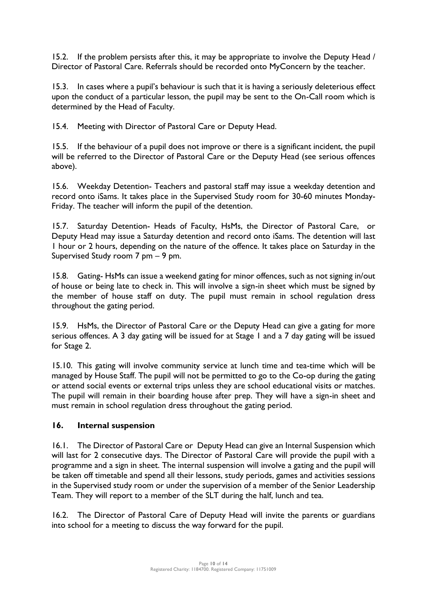15.2. If the problem persists after this, it may be appropriate to involve the Deputy Head / Director of Pastoral Care. Referrals should be recorded onto MyConcern by the teacher.

15.3. In cases where a pupil's behaviour is such that it is having a seriously deleterious effect upon the conduct of a particular lesson, the pupil may be sent to the On-Call room which is determined by the Head of Faculty.

15.4. Meeting with Director of Pastoral Care or Deputy Head.

15.5. If the behaviour of a pupil does not improve or there is a significant incident, the pupil will be referred to the Director of Pastoral Care or the Deputy Head (see serious offences above).

15.6. Weekday Detention- Teachers and pastoral staff may issue a weekday detention and record onto iSams. It takes place in the Supervised Study room for 30-60 minutes Monday-Friday. The teacher will inform the pupil of the detention.

15.7. Saturday Detention- Heads of Faculty, HsMs, the Director of Pastoral Care, or Deputy Head may issue a Saturday detention and record onto iSams. The detention will last 1 hour or 2 hours, depending on the nature of the offence. It takes place on Saturday in the Supervised Study room 7 pm – 9 pm.

15.8. Gating- HsMs can issue a weekend gating for minor offences, such as not signing in/out of house or being late to check in. This will involve a sign-in sheet which must be signed by the member of house staff on duty. The pupil must remain in school regulation dress throughout the gating period.

15.9. HsMs, the Director of Pastoral Care or the Deputy Head can give a gating for more serious offences. A 3 day gating will be issued for at Stage 1 and a 7 day gating will be issued for Stage 2.

15.10. This gating will involve community service at lunch time and tea-time which will be managed by House Staff. The pupil will not be permitted to go to the Co-op during the gating or attend social events or external trips unless they are school educational visits or matches. The pupil will remain in their boarding house after prep. They will have a sign-in sheet and must remain in school regulation dress throughout the gating period.

# **16. Internal suspension**

16.1. The Director of Pastoral Care or Deputy Head can give an Internal Suspension which will last for 2 consecutive days. The Director of Pastoral Care will provide the pupil with a programme and a sign in sheet. The internal suspension will involve a gating and the pupil will be taken off timetable and spend all their lessons, study periods, games and activities sessions in the Supervised study room or under the supervision of a member of the Senior Leadership Team. They will report to a member of the SLT during the half, lunch and tea.

16.2. The Director of Pastoral Care of Deputy Head will invite the parents or guardians into school for a meeting to discuss the way forward for the pupil.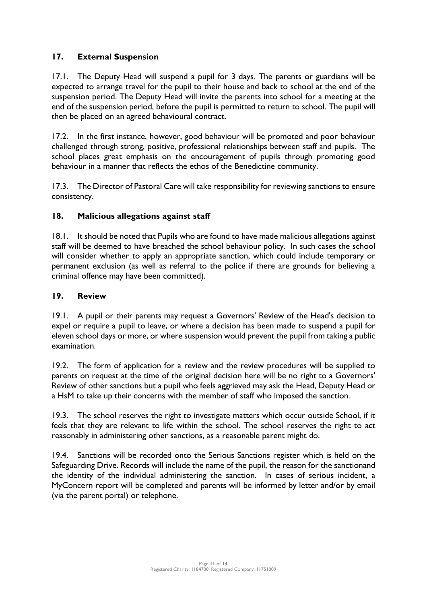# **17. External Suspension**

17.1. The Deputy Head will suspend a pupil for 3 days. The parents or guardians will be expected to arrange travel for the pupil to their house and back to school at the end of the suspension period. The Deputy Head will invite the parents into school for a meeting at the end of the suspension period, before the pupil is permitted to return to school. The pupil will then be placed on an agreed behavioural contract.

17.2. In the first instance, however, good behaviour will be promoted and poor behaviour challenged through strong, positive, professional relationships between staff and pupils. The school places great emphasis on the encouragement of pupils through promoting good behaviour in a manner that reflects the ethos of the Benedictine community.

17.3. The Director of Pastoral Care will take responsibility for reviewing sanctions to ensure consistency.

# **18. Malicious allegations against staff**

18.1. It should be noted that Pupils who are found to have made malicious allegations against staff will be deemed to have breached the school behaviour policy. In such cases the school will consider whether to apply an appropriate sanction, which could include temporary or permanent exclusion (as well as referral to the police if there are grounds for believing a criminal offence may have been committed).

# **19. Review**

19.1. A pupil or their parents may request a Governors' Review of the Head's decision to expel or require a pupil to leave, or where a decision has been made to suspend a pupil for eleven school days or more, or where suspension would prevent the pupil from taking a public examination.

19.2. The form of application for a review and the review procedures will be supplied to parents on request at the time of the original decision here will be no right to a Governors' Review of other sanctions but a pupil who feels aggrieved may ask the Head, Deputy Head or a HsM to take up their concerns with the member of staff who imposed the sanction.

19.3. The school reserves the right to investigate matters which occur outside School, if it feels that they are relevant to life within the school. The school reserves the right to act reasonably in administering other sanctions, as a reasonable parent might do.

19.4. Sanctions will be recorded onto the Serious Sanctions register which is held on the Safeguarding Drive. Records will include the name of the pupil, the reason for the sanctionand the identity of the individual administering the sanction. In cases of serious incident, a MyConcern report will be completed and parents will be informed by letter and/or by email (via the parent portal) or telephone.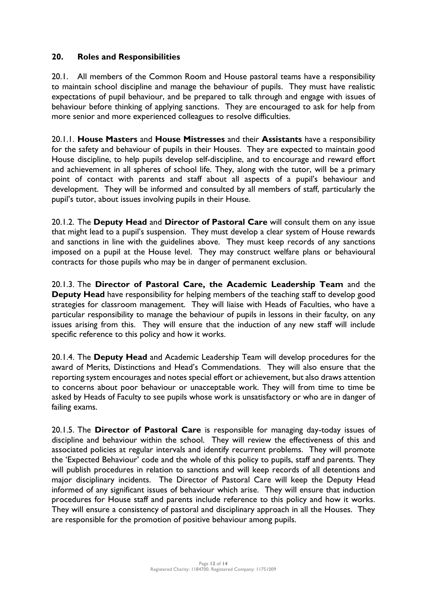#### **20. Roles and Responsibilities**

20.1. All members of the Common Room and House pastoral teams have a responsibility to maintain school discipline and manage the behaviour of pupils. They must have realistic expectations of pupil behaviour, and be prepared to talk through and engage with issues of behaviour before thinking of applying sanctions. They are encouraged to ask for help from more senior and more experienced colleagues to resolve difficulties.

20.1.1. **House Masters** and **House Mistresses** and their **Assistants** have a responsibility for the safety and behaviour of pupils in their Houses. They are expected to maintain good House discipline, to help pupils develop self-discipline, and to encourage and reward effort and achievement in all spheres of school life. They, along with the tutor, will be a primary point of contact with parents and staff about all aspects of a pupil's behaviour and development. They will be informed and consulted by all members of staff, particularly the pupil's tutor, about issues involving pupils in their House.

20.1.2. The **Deputy Head** and **Director of Pastoral Care** will consult them on any issue that might lead to a pupil's suspension. They must develop a clear system of House rewards and sanctions in line with the guidelines above. They must keep records of any sanctions imposed on a pupil at the House level. They may construct welfare plans or behavioural contracts for those pupils who may be in danger of permanent exclusion.

20.1.3. The **Director of Pastoral Care, the Academic Leadership Team** and the **Deputy Head** have responsibility for helping members of the teaching staff to develop good strategies for classroom management. They will liaise with Heads of Faculties, who have a particular responsibility to manage the behaviour of pupils in lessons in their faculty, on any issues arising from this. They will ensure that the induction of any new staff will include specific reference to this policy and how it works.

20.1.4. The **Deputy Head** and Academic Leadership Team will develop procedures for the award of Merits, Distinctions and Head's Commendations. They will also ensure that the reporting system encourages and notes special effort or achievement, but also draws attention to concerns about poor behaviour or unacceptable work. They will from time to time be asked by Heads of Faculty to see pupils whose work is unsatisfactory or who are in danger of failing exams.

20.1.5. The **Director of Pastoral Care** is responsible for managing day-today issues of discipline and behaviour within the school. They will review the effectiveness of this and associated policies at regular intervals and identify recurrent problems. They will promote the 'Expected Behaviour' code and the whole of this policy to pupils, staff and parents. They will publish procedures in relation to sanctions and will keep records of all detentions and major disciplinary incidents. The Director of Pastoral Care will keep the Deputy Head informed of any significant issues of behaviour which arise. They will ensure that induction procedures for House staff and parents include reference to this policy and how it works. They will ensure a consistency of pastoral and disciplinary approach in all the Houses. They are responsible for the promotion of positive behaviour among pupils.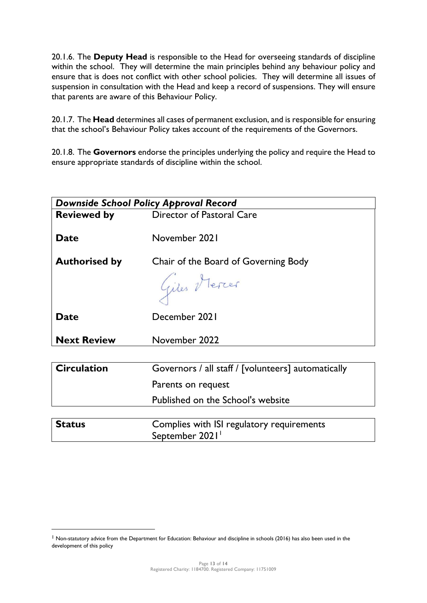20.1.6. The **Deputy Head** is responsible to the Head for overseeing standards of discipline within the school. They will determine the main principles behind any behaviour policy and ensure that is does not conflict with other school policies. They will determine all issues of suspension in consultation with the Head and keep a record of suspensions. They will ensure that parents are aware of this Behaviour Policy.

20.1.7. The **Head** determines all cases of permanent exclusion, and is responsible for ensuring that the school's Behaviour Policy takes account of the requirements of the Governors.

20.1.8. The **Governors** endorse the principles underlying the policy and require the Head to ensure appropriate standards of discipline within the school.

| <b>Downside School Policy Approval Record</b> |                                                             |  |
|-----------------------------------------------|-------------------------------------------------------------|--|
| <b>Reviewed by</b>                            | Director of Pastoral Care                                   |  |
|                                               |                                                             |  |
| <b>Date</b>                                   | November 2021                                               |  |
| <b>Authorised by</b>                          | Chair of the Board of Governing Body                        |  |
|                                               | Giles Mercer                                                |  |
| <b>Date</b>                                   | December 2021                                               |  |
| <b>Next Review</b>                            | November 2022                                               |  |
|                                               |                                                             |  |
| <b>Circulation</b>                            | Governors / all staff / [volunteers] automatically          |  |
|                                               | Parents on request                                          |  |
|                                               | Published on the School's website                           |  |
|                                               |                                                             |  |
| <b>Status</b>                                 | Complies with ISI regulatory requirements<br>September 2021 |  |

<sup>&</sup>lt;sup>1</sup> Non-statutory advice from the Department for Education: Behaviour and discipline in schools (2016) has also been used in the development of this policy